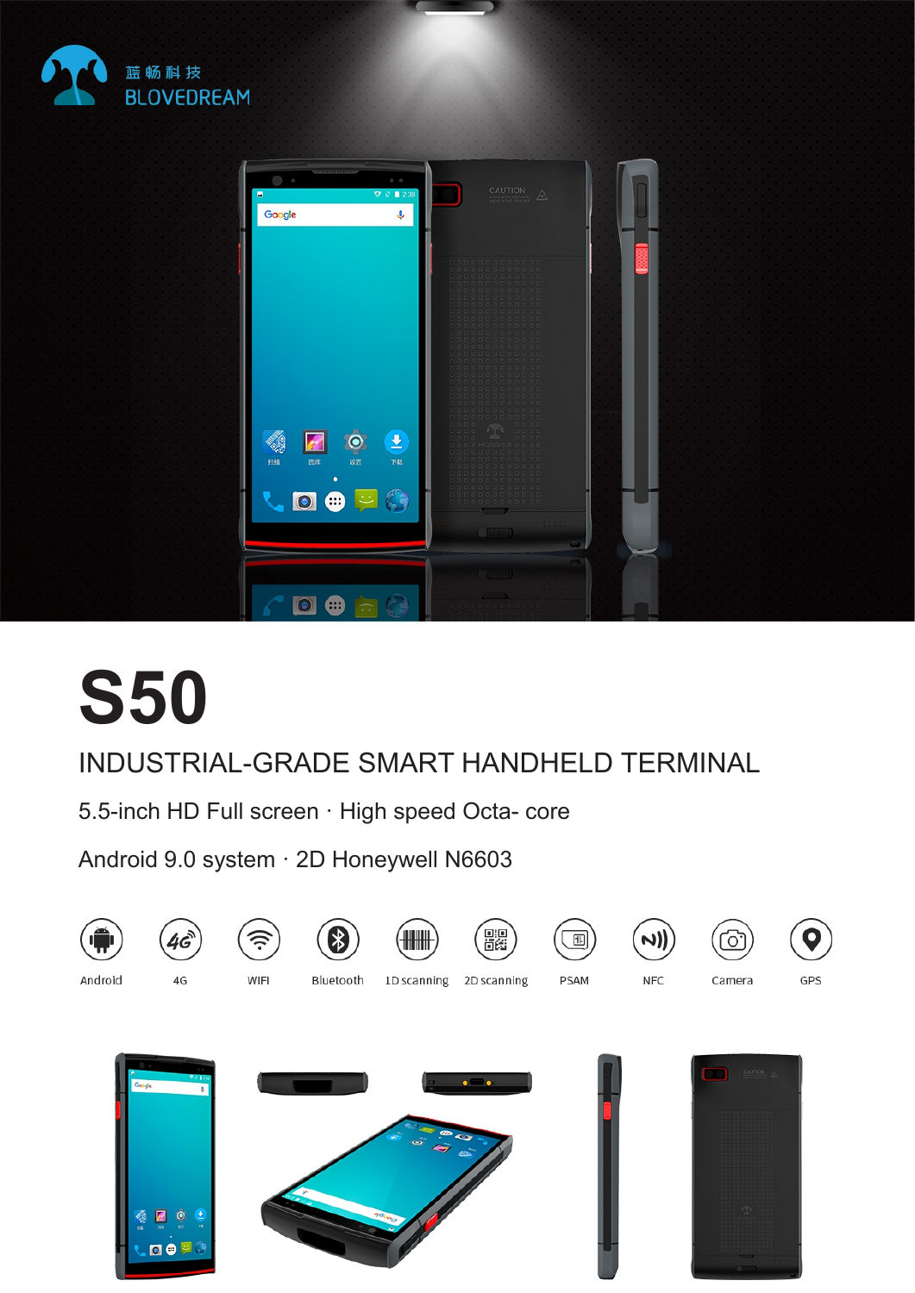



# **S50**

## INDUSTRIAL-GRADE SMART HANDHELD TERMINAL

5.5-inch HD Full screen · High speed Octa- core

Android 9.0 system · 2D Honeywell N6603